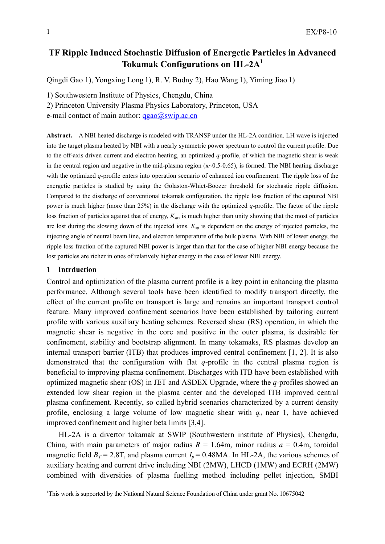# **TF Ripple Induced Stochastic Diffusion of Energetic Particles in Advanced Tokamak Configurations on HL-2A<sup>1</sup>**

Qingdi Gao 1), Yongxing Long 1), R. V. Budny 2), Hao Wang 1), Yiming Jiao 1)

1) Southwestern Institute of Physics, Chengdu, China

2) Princeton University Plasma Physics Laboratory, Princeton, USA

e-mail contact of main author:  $qgao@swip.ac.cn$ 

**Abstract.** A NBI heated discharge is modeled with TRANSP under the HL-2A condition. LH wave is injected into the target plasma heated by NBI with a nearly symmetric power spectrum to control the current profile. Due to the off-axis driven current and electron heating, an optimized *q*-profile, of which the magnetic shear is weak in the central region and negative in the mid-plasma region (x~0.5-0.65), is formed. The NBI heating discharge with the optimized *q*-profile enters into operation scenario of enhanced ion confinement. The ripple loss of the energetic particles is studied by using the Golaston-Whiet-Boozer threshold for stochastic ripple diffusion. Compared to the discharge of conventional tokamak configuration, the ripple loss fraction of the captured NBI power is much higher (more than 25%) in the discharge with the optimized *q*-profile. The factor of the ripple loss fraction of particles against that of energy,  $K_{sp}$ , is much higher than unity showing that the most of particles are lost during the slowing down of the injected ions.  $K_{sp}$  is dependent on the energy of injected particles, the injecting angle of neutral beam line, and electron temperature of the bulk plasma. With NBI of lower energy, the ripple loss fraction of the captured NBI power is larger than that for the case of higher NBI energy because the lost particles are richer in ones of relatively higher energy in the case of lower NBI energy.

### **1 Intrduction**

-

Control and optimization of the plasma current profile is a key point in enhancing the plasma performance. Although several tools have been identified to modify transport directly, the effect of the current profile on transport is large and remains an important transport control feature. Many improved confinement scenarios have been established by tailoring current profile with various auxiliary heating schemes. Reversed shear (RS) operation, in which the magnetic shear is negative in the core and positive in the outer plasma, is desirable for confinement, stability and bootstrap alignment. In many tokamaks, RS plasmas develop an internal transport barrier (ITB) that produces improved central confinement [1, 2]. It is also demonstrated that the configuration with flat *q*-profile in the central plasma region is beneficial to improving plasma confinement. Discharges with ITB have been established with optimized magnetic shear (OS) in JET and ASDEX Upgrade, where the *q*-profiles showed an extended low shear region in the plasma center and the developed ITB improved central plasma confinement. Recently, so called hybrid scenarios characterized by a current density profile, enclosing a large volume of low magnetic shear with  $q_0$  near 1, have achieved improved confinement and higher beta limits [3,4].

HL-2A is a divertor tokamak at SWIP (Southwestern institute of Physics), Chengdu, China, with main parameters of major radius  $R = 1.64$ m, minor radius  $a = 0.4$ m, toroidal magnetic field  $B_T = 2.8$ T, and plasma current  $I_p = 0.48$ MA. In HL-2A, the various schemes of auxiliary heating and current drive including NBI (2MW), LHCD (1MW) and ECRH (2MW) combined with diversities of plasma fuelling method including pellet injection, SMBI

<sup>&</sup>lt;sup>1</sup>This work is supported by the National Natural Science Foundation of China under grant No. 10675042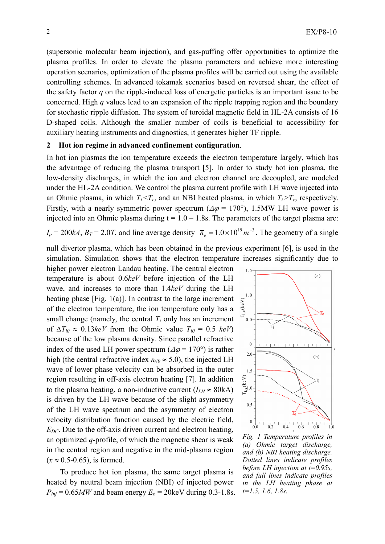(supersonic molecular beam injection), and gas-puffing offer opportunities to optimize the plasma profiles. In order to elevate the plasma parameters and achieve more interesting operation scenarios, optimization of the plasma profiles will be carried out using the available controlling schemes. In advanced tokamak scenarios based on reversed shear, the effect of the safety factor *q* on the ripple-induced loss of energetic particles is an important issue to be concerned. High *q* values lead to an expansion of the ripple trapping region and the boundary for stochastic ripple diffusion. The system of toroidal magnetic field in HL-2A consists of 16 D-shaped coils. Although the smaller number of coils is beneficial to accessibility for auxiliary heating instruments and diagnostics, it generates higher TF ripple.

## **2 Hot ion regime in advanced confinement configuration**.

In hot ion plasmas the ion temperature exceeds the electron temperature largely, which has the advantage of reducing the plasma transport [5]. In order to study hot ion plasma, the low-density discharges, in which the ion and electron channel are decoupled, are modeled under the HL-2A condition. We control the plasma current profile with LH wave injected into an Ohmic plasma, in which  $T_i < T_e$ , and an NBI heated plasma, in which  $T_i > T_e$ , respectively. Firstly, with a nearly symmetric power spectrum ( $\Delta \varphi = 170^{\circ}$ ), 1.5MW LH wave power is injected into an Ohmic plasma during  $t = 1.0 - 1.8s$ . The parameters of the target plasma are:

 $I_p = 200kA$ ,  $B_T = 2.0T$ , and line average density  $\overline{n}_e = 1.0 \times 10^{19} m^{-3}$ . The geometry of a single

null divertor plasma, which has been obtained in the previous experiment [6], is used in the simulation. Simulation shows that the electron temperature increases significantly due to

higher power electron Landau heating. The central electron temperature is about 0.6*keV* before injection of the LH wave, and increases to more than 1.4*keV* during the LH heating phase [Fig. 1(a)]. In contrast to the large increment of the electron temperature, the ion temperature only has a small change (namely, the central  $T_i$  only has an increment of  $\Delta T_{i0} \approx 0.13 \text{keV}$  from the Ohmic value  $T_{i0} = 0.5 \text{ keV}$ because of the low plasma density. Since parallel refractive index of the used LH power spectrum ( $\Delta \varphi = 170^{\circ}$ ) is rather high (the central refractive index  $n_{\ell/0} \approx 5.0$ ), the injected LH wave of lower phase velocity can be absorbed in the outer region resulting in off-axis electron heating [7]. In addition to the plasma heating, a non-inductive current  $(I_{LH} \approx 80 \text{kA})$ is driven by the LH wave because of the slight asymmetry of the LH wave spectrum and the asymmetry of electron velocity distribution function caused by the electric field,  $E_{DC}$ . Due to the off-axis driven current and electron heating, an optimized *q*-profile, of which the magnetic shear is weak in the central region and negative in the mid-plasma region  $(x \approx 0.5{\text -}0.65)$ , is formed.

 To produce hot ion plasma, the same target plasma is heated by neutral beam injection (NBI) of injected power  $P_{ini} = 0.65MW$  and beam energy  $E_b = 20 \text{keV}$  during 0.3-1.8s.



*Fig. 1 Temperature profiles in (a) Ohmic target discharge, and (b) NBI heating discharge. Dotted lines indicate profiles before LH injection at t=0.95s, and full lines indicate profiles in the LH heating phase at t=1.5, 1.6, 1.8s.*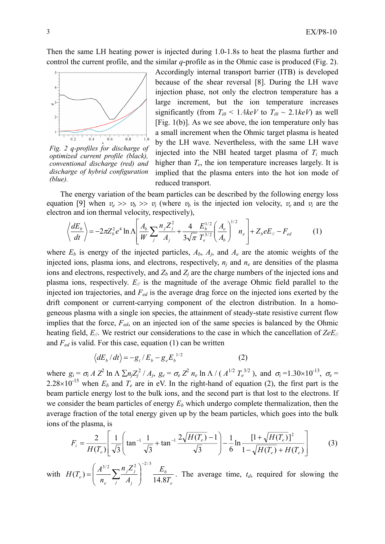Then the same LH heating power is injected during 1.0-1.8s to heat the plasma further and control the current profile, and the similar *q*-profile as in the Ohmic case is produced (Fig. 2).



*Fig. 2 q-profiles for discharge of optimized current profile (black), conventional discharge (red) and discharge of hybrid configuration (blue).*

Accordingly internal transport barrier (ITB) is developed because of the shear reversal [8]. During the LH wave injection phase, not only the electron temperature has a large increment, but the ion temperature increases significantly (from  $T_{i0}$  < 1.4*keV* to  $T_{i0}$  ~ 2.1*keV*) as well [Fig.  $1(b)$ ]. As we see above, the ion temperature only has a small increment when the Ohmic target plasma is heated by the LH wave. Nevertheless, with the same LH wave injected into the NBI heated target plasma of  $T_i$  much higher than *Te*, the ion temperature increases largely. It is implied that the plasma enters into the hot ion mode of reduced transport.

The energy variation of the beam particles can be described by the following energy loss equation [9] when  $v_e \gg v_b \gg v_i$  (where  $v_b$  is the injected ion velocity,  $v_e$  and  $v_i$  are the electron and ion thermal velocity, respectively),

$$
\left\langle \frac{dE_b}{dt} \right\rangle = -2\pi Z_b^2 e^4 \ln \Lambda \left[ \frac{A_b}{W} \sum_j \frac{n_j Z_j^2}{A_j} + \frac{4}{3\sqrt{\pi}} \frac{E_b^{1/2}}{T_e^{3/2}} \left( \frac{A_e}{A_b} \right)^{1/2} n_e \right] + Z_b e E_{\parallel} - F_{ed} \tag{1}
$$

where  $E_b$  is energy of the injected particles,  $A_b$ ,  $A_i$ , and  $A_e$  are the atomic weights of the injected ions, plasma ions, and electrons, respectively,  $n_i$  and  $n_e$  are densities of the plasma ions and electrons, respectively, and  $Z_b$  and  $Z_i$  are the charge numbers of the injected ions and plasma ions, respectively.  $E_{\ell}$  is the magnitude of the average Ohmic field parallel to the injected ion trajectories, and *Fed* is the average drag force on the injected ions exerted by the drift component or current-carrying component of the electron distribution. In a homogeneous plasma with a single ion species, the attainment of steady-state resistive current flow implies that the force,  $F_{ed}$ , on an injected ion of the same species is balanced by the Ohmic heating field, *E//*. We restrict our considerations to the case in which the cancellation of *ZeE*// and *Fed* is valid. For this case, equation (1) can be written

$$
\left\langle dE_b/dt \right\rangle = -g_i / E_b - g_e E_b^{1/2}
$$
 (2)

where  $g_i = \sigma_i A Z^2 \ln A \sum n_j Z_j^2 / A_j$ ,  $g_e = \sigma_e Z^2 n_e \ln A / (A^{1/2} T_e^{3/2})$ , and  $\sigma_i = 1.30 \times 10^{-13}$ ,  $\sigma_e =$  $2.28 \times 10^{-15}$  when  $E_b$  and  $T_e$  are in eV. In the right-hand of equation (2), the first part is the beam particle energy lost to the bulk ions, and the second part is that lost to the electrons. If we consider the beam particles of energy  $E<sub>b</sub>$  which undergo complete thermalization, then the average fraction of the total energy given up by the beam particles, which goes into the bulk ions of the plasma, is

$$
F_i = \frac{2}{H(T_e)} \left[ \frac{1}{\sqrt{3}} \left( \tan^{-1} \frac{1}{\sqrt{3}} + \tan^{-1} \frac{2\sqrt{H(T_e)} - 1}{\sqrt{3}} \right) - \frac{1}{6} \ln \frac{[1 + \sqrt{H(T_e)}]^2}{1 - \sqrt{H(T_e)} + H(T_e)} \right] \tag{3}
$$

with *e b j j j j*  $e^{f}$   $\begin{bmatrix} n_e & \stackrel{\prime}{\rightarrow} & A_j \end{bmatrix}$  14.87 *E A*  $n_i Z$ *n*  $H(T_e) = \left(\frac{A^{3/2}}{n_e} \sum_i \frac{n_j Z_i^2}{A_i}\right)$   $\frac{E_b}{14.8}$ 3/2  $n \times 7^2$   $2^{2/3}$  $\overline{\phantom{a}}$ ⎠ ⎞  $\parallel$ ⎝  $=\left(\frac{A^{3/2}}{n}\sum_{i=1}^{n} \frac{n_{i}Z_{i}^{2}}{14.8T}\right)^{-1/2} \frac{E_{b}}{14.8T}$ . The average time,  $t_{d}$ , required for slowing the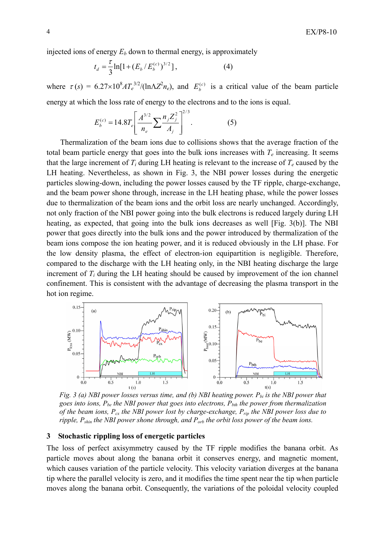injected ions of energy  $E_b$  down to thermal energy, is approximately

$$
t_d = \frac{\tau}{3} \ln[1 + (E_b / E_b^{(c)})^{3/2}], \tag{4}
$$

where  $\tau(s) = 6.27 \times 10^8 A T_e^{3/2} / (\ln \Lambda Z^2 n_e)$ , and  $E_b^{(c)}$  is a critical value of the beam particle energy at which the loss rate of energy to the electrons and to the ions is equal.

$$
E_b^{(c)} = 14.8T_e \left[ \frac{A^{3/2}}{n_e} \sum \frac{n_j Z_j^2}{A_j} \right]^{2/3}.
$$
 (5)

Thermalization of the beam ions due to collisions shows that the average fraction of the total beam particle energy that goes into the bulk ions increases with  $T_e$  increasing. It seems that the large increment of  $T_i$  during LH heating is relevant to the increase of  $T_e$  caused by the LH heating. Nevertheless, as shown in Fig. 3, the NBI power losses during the energetic particles slowing-down, including the power losses caused by the TF ripple, charge-exchange, and the beam power shone through, increase in the LH heating phase, while the power losses due to thermalization of the beam ions and the orbit loss are nearly unchanged. Accordingly, not only fraction of the NBI power going into the bulk electrons is reduced largely during LH heating, as expected, that going into the bulk ions decreases as well [Fig. 3(b)]. The NBI power that goes directly into the bulk ions and the power introduced by thermalization of the beam ions compose the ion heating power, and it is reduced obviously in the LH phase. For the low density plasma, the effect of electron-ion equipartition is negligible. Therefore, compared to the discharge with the LH heating only, in the NBI heating discharge the large increment of *Ti* during the LH heating should be caused by improvement of the ion channel confinement. This is consistent with the advantage of decreasing the plasma transport in the hot ion regime.



*Fig. 3 (a) NBI power losses versus time, and (b) NBI heating power. P<sub>bi</sub> is the NBI power that* goes into ions,  $P_{be}$  the NBI power that goes into electrons,  $P_{bth}$  the power from thermalization *of the beam ions, Pcx the NBI power lost by charge-exchange, Prip the NBI power loss due to ripple, P<sub>shin</sub> the NBI power shone through, and P<sub>orb</sub> the orbit loss power of the beam ions.* 

## **3 Stochastic rippling loss of energetic particles**

The loss of perfect axisymmetry caused by the TF ripple modifies the banana orbit. As particle moves about along the banana orbit it conserves energy, and magnetic moment, which causes variation of the particle velocity. This velocity variation diverges at the banana tip where the parallel velocity is zero, and it modifies the time spent near the tip when particle moves along the banana orbit. Consequently, the variations of the poloidal velocity coupled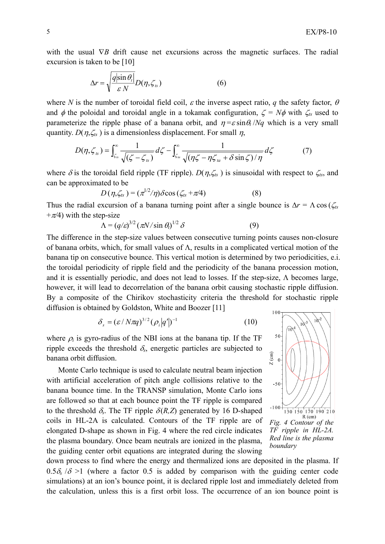with the usual  $∇B$  drift cause net excursions across the magnetic surfaces. The radial excursion is taken to be [10]

$$
\Delta r = \sqrt{\frac{q|\sin\theta_t|}{\varepsilon N}} D(\eta, \zeta_s)
$$
 (6)

where *N* is the number of toroidal field coil,  $\varepsilon$  the inverse aspect ratio, *q* the safety factor,  $\theta$ and  $\phi$  the poloidal and toroidal angle in a tokamak configuration,  $\zeta = N\phi$  with  $\zeta$ <sub>ts</sub> used to parameterize the ripple phase of a banana orbit, and  $\eta = \varepsilon \sin \theta_t / Nq$  which is a very small quantity.  $D(\eta, \zeta_{ts})$  is a dimensionless displacement. For small  $\eta$ ,

$$
D(\eta, \zeta_{ts}) = \int_{\zeta_{ts}}^{\infty} \frac{1}{\sqrt{(\zeta - \zeta_{ts})}} d\zeta - \int_{\zeta_{ts}}^{\infty} \frac{1}{\sqrt{(\eta \zeta - \eta \zeta_{ta} + \delta \sin \zeta)/\eta}} d\zeta
$$
 (7)

where  $\delta$  is the toroidal field ripple (TF ripple).  $D(\eta, \zeta_k)$  is sinusoidal with respect to  $\zeta_k$ , and can be approximated to be

$$
D(\eta,\zeta_{ts}) = (\pi^{1/2}/\eta)\delta\cos(\zeta_{ts} + \pi/4)
$$
 (8)

Thus the radial excursion of a banana turning point after a single bounce is  $\Delta r = \Lambda \cos(\zeta_{ts})$  $+\pi/4$ ) with the step-size

$$
\Lambda = (q/\varepsilon)^{3/2} (\pi N / \sin \theta_l)^{1/2} \delta \tag{9}
$$

The difference in the step-size values between consecutive turning points causes non-closure of banana orbits, which, for small values of Λ, results in a complicated vertical motion of the banana tip on consecutive bounce. This vertical motion is determined by two periodicities, e.i. the toroidal periodicity of ripple field and the periodicity of the banana procession motion, and it is essentially periodic, and does not lead to losses. If the step-size,  $\Lambda$  becomes large, however, it will lead to decorrelation of the banana orbit causing stochastic ripple diffusion. By a composite of the Chirikov stochasticity criteria the threshold for stochastic ripple diffusion is obtained by Goldston, White and Boozer [11]

$$
\delta_s = \left(\varepsilon / N\pi q\right)^{3/2} \left(\rho_i \left|q'\right|\right)^{-1} \tag{10}
$$

where  $\rho_i$  is gyro-radius of the NBI ions at the banana tip. If the TF ripple exceeds the threshold  $\delta_s$ , energetic particles are subjected to banana orbit diffusion.

Monte Carlo technique is used to calculate neutral beam injection with artificial acceleration of pitch angle collisions relative to the banana bounce time. In the TRANSP simulation, Monte Carlo ions are followed so that at each bounce point the TF ripple is compared to the threshold  $\delta_s$ . The TF ripple  $\delta(R,Z)$  generated by 16 D-shaped coils in HL-2A is calculated. Contours of the TF ripple are of elongated D-shape as shown in Fig. 4 where the red circle indicates the plasma boundary. Once beam neutrals are ionized in the plasma, the guiding center orbit equations are integrated during the slowing



down process to find where the energy and thermalized ions are deposited in the plasma. If  $0.5\delta$ <sub>s</sub> / $\delta$  >1 (where a factor 0.5 is added by comparison with the guiding center code simulations) at an ion's bounce point, it is declared ripple lost and immediately deleted from the calculation, unless this is a first orbit loss. The occurrence of an ion bounce point is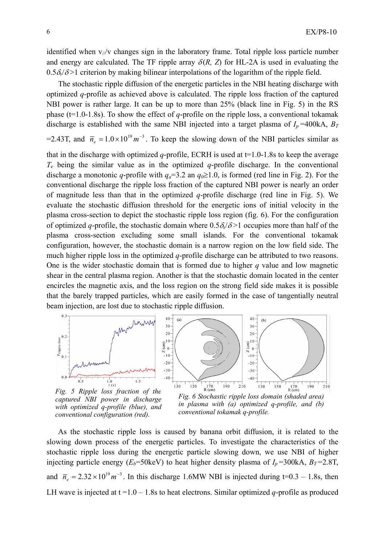identified when  $v_{\ell}/v$  changes sign in the laboratory frame. Total ripple loss particle number and energy are calculated. The TF ripple array  $\delta(R, Z)$  for HL-2A is used in evaluating the  $0.5\delta\sqrt{\delta}$  criterion by making bilinear interpolations of the logarithm of the ripple field.

The stochastic ripple diffusion of the energetic particles in the NBI heating discharge with optimized *q*-profile as achieved above is calculated. The ripple loss fraction of the captured NBI power is rather large. It can be up to more than 25% (black line in Fig. 5) in the RS phase (t=1.0-1.8s). To show the effect of *q*-profile on the ripple loss, a conventional tokamak discharge is established with the same NBI injected into a target plasma of  $I_p = 400kA$ ,  $B_T$ 

=2.43T, and  $\bar{n}_e = 1.0 \times 10^{19} m^{-3}$ . To keep the slowing down of the NBI particles similar as

that in the discharge with optimized *q*-profile, ECRH is used at  $t=1.0-1.8$ s to keep the average *Te* being the similar value as in the optimized *q*-profile discharge. In the conventional discharge a monotonic *q*-profile with  $q_a=3.2$  an  $q_0 \ge 1.0$ , is formed (red line in Fig. 2). For the conventional discharge the ripple loss fraction of the captured NBI power is nearly an order of magnitude less than that in the optimized *q*-profile discharge (red line in Fig. 5). We evaluate the stochastic diffusion threshold for the energetic ions of initial velocity in the plasma cross-section to depict the stochastic ripple loss region (fig. 6). For the configuration of optimized *q*-profile, the stochastic domain where  $0.5\delta\sqrt{\delta} > 1$  occupies more than half of the plasma cross-section excluding some small islands. For the conventional tokamak configuration, however, the stochastic domain is a narrow region on the low field side. The much higher ripple loss in the optimized *q*-profile discharge can be attributed to two reasons. One is the wider stochastic domain that is formed due to higher *q* value and low magnetic shear in the central plasma region. Another is that the stochastic domain located in the center encircles the magnetic axis, and the loss region on the strong field side makes it is possible that the barely trapped particles, which are easily formed in the case of tangentially neutral beam injection, are lost due to stochastic ripple diffusion.



*Fig. 5 Ripple loss fraction of the captured NBI power in discharge with optimized q-profile (blue), and conventional configuration (red).* 

*Fig. 6 Stochastic ripple loss domain (shaded area) in plasma with (a) optimized q-profile, and (b) conventional tokamak q-profile.* 

As the stochastic ripple loss is caused by banana orbit diffusion, it is related to the slowing down process of the energetic particles. To investigate the characteristics of the stochastic ripple loss during the energetic particle slowing down, we use NBI of higher injecting particle energy ( $E_b$ =50keV) to heat higher density plasma of  $I_p$ =300kA,  $B_T$ =2.8T, and  $\bar{n}_e = 2.32 \times 10^{19} m^{-3}$ . In this discharge 1.6MW NBI is injected during t=0.3 – 1.8s, then LH wave is injected at  $t = 1.0 - 1.8$  s to heat electrons. Similar optimized *q*-profile as produced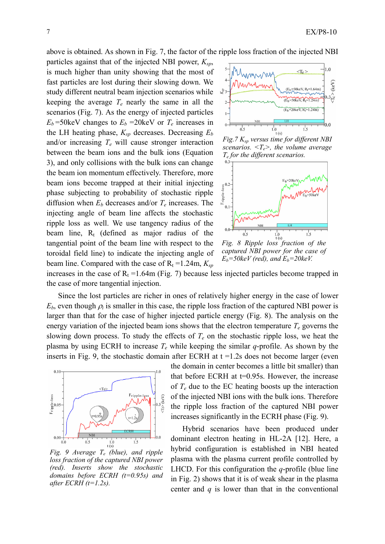above is obtained. As shown in Fig. 7, the factor of the ripple loss fraction of the injected NBI

particles against that of the injected NBI power, *Ksp*, is much higher than unity showing that the most of fast particles are lost during their slowing down. We study different neutral beam injection scenarios while keeping the average  $T_e$  nearly the same in all the scenarios (Fig. 7). As the energy of injected particles  $E_b$ =50keV changes to  $E_b$ =20keV or  $T_e$  increases in the LH heating phase,  $K_{sp}$  decreases. Decreasing  $E_b$ and/or increasing *Te* will cause stronger interaction between the beam ions and the bulk ions (Equation 3), and only collisions with the bulk ions can change the beam ion momentum effectively. Therefore, more beam ions become trapped at their initial injecting phase subjecting to probability of stochastic ripple diffusion when *Eb* decreases and/or *Te* increases. The injecting angle of beam line affects the stochastic ripple loss as well. We use tangency radius of the beam line,  $R_t$  (defined as major radius of the tangential point of the beam line with respect to the toroidal field line) to indicate the injecting angle of beam line. Compared with the case of  $R_t = 1.24$ m,  $K_{sp}$ 



*scenarios. <Te>, the volume average Te for the different scenarios.* 



*Fig. 8 Ripple loss fraction of the captured NBI power for the case of*  $E_b = 50 \text{keV}$  (red), and  $E_b = 20 \text{keV}$ .

increases in the case of  $R_t = 1.64$ m (Fig. 7) because less injected particles become trapped in the case of more tangential injection.

Since the lost particles are richer in ones of relatively higher energy in the case of lower  $E_b$ , even though  $\rho_i$  is smaller in this case, the ripple loss fraction of the captured NBI power is larger than that for the case of higher injected particle energy (Fig. 8). The analysis on the energy variation of the injected beam ions shows that the electron temperature  $T_e$  governs the slowing down process. To study the effects of  $T_e$  on the stochastic ripple loss, we heat the plasma by using ECRH to increase *Te* while keeping the similar *q*-profile. As shown by the inserts in Fig. 9, the stochastic domain after ECRH at  $t = 1.2$ s does not become larger (even



*Fig. 9 Average Te (blue), and ripple loss fraction of the captured NBI power (red). Inserts show the stochastic domains before ECRH (t=0.95s) and after ECRH (t=1.2s).* 

the domain in center becomes a little bit smaller) than that before ECRH at  $t=0.95s$ . However, the increase of  $T_e$  due to the EC heating boosts up the interaction of the injected NBI ions with the bulk ions. Therefore the ripple loss fraction of the captured NBI power increases significantly in the ECRH phase (Fig. 9).

Hybrid scenarios have been produced under dominant electron heating in HL-2A [12]. Here, a hybrid configuration is established in NBI heated plasma with the plasma current profile controlled by LHCD. For this configuration the *q*-profile (blue line in Fig. 2) shows that it is of weak shear in the plasma center and *q* is lower than that in the conventional